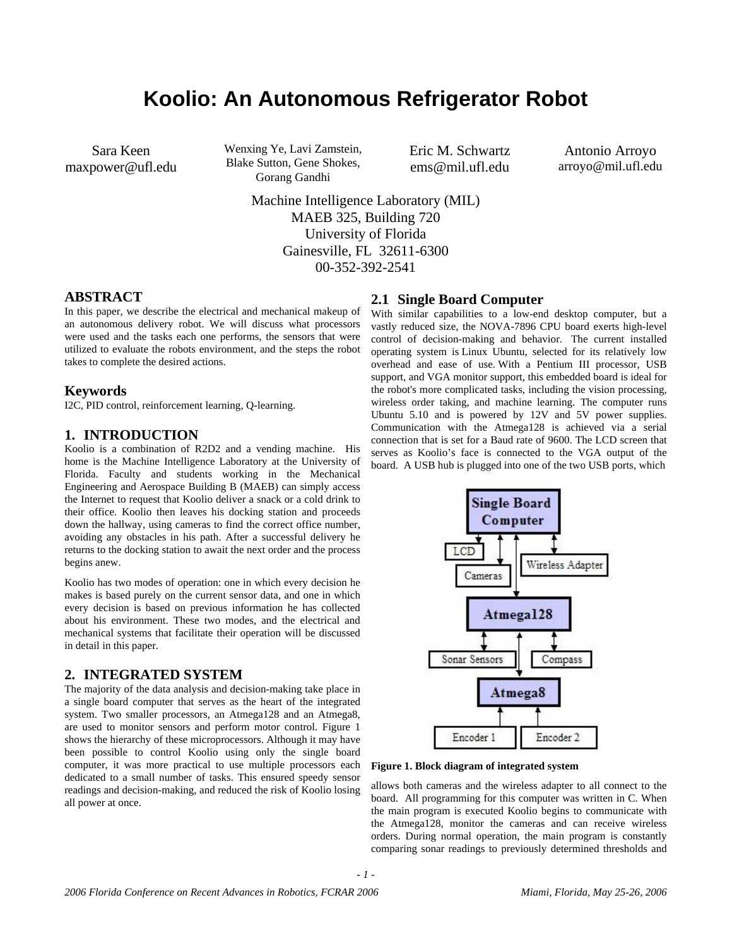# **Koolio: An Autonomous Refrigerator Robot**

Sara Keen maxpower@ufl.edu Wenxing Ye, Lavi Zamstein, Blake Sutton, Gene Shokes, Gorang Gandhi

Eric M. Schwartz ems@mil.ufl.edu

Antonio Arroyo arroyo@mil.ufl.edu

Machine Intelligence Laboratory (MIL) MAEB 325, Building 720 University of Florida Gainesville, FL 32611-6300 00-352-392-2541

# **ABSTRACT**

In this paper, we describe the electrical and mechanical makeup of an autonomous delivery robot. We will discuss what processors were used and the tasks each one performs, the sensors that were utilized to evaluate the robots environment, and the steps the robot takes to complete the desired actions.

#### **Keywords**

I2C, PID control, reinforcement learning, Q-learning.

### **1. INTRODUCTION**

Koolio is a combination of R2D2 and a vending machine. His home is the Machine Intelligence Laboratory at the University of Florida. Faculty and students working in the Mechanical Engineering and Aerospace Building B (MAEB) can simply access the Internet to request that Koolio deliver a snack or a cold drink to their office. Koolio then leaves his docking station and proceeds down the hallway, using cameras to find the correct office number, avoiding any obstacles in his path. After a successful delivery he returns to the docking station to await the next order and the process begins anew.

Koolio has two modes of operation: one in which every decision he makes is based purely on the current sensor data, and one in which every decision is based on previous information he has collected about his environment. These two modes, and the electrical and mechanical systems that facilitate their operation will be discussed in detail in this paper.

### **2. INTEGRATED SYSTEM**

The majority of the data analysis and decision-making take place in a single board computer that serves as the heart of the integrated system. Two smaller processors, an Atmega128 and an Atmega8, are used to monitor sensors and perform motor control. Figure 1 shows the hierarchy of these microprocessors. Although it may have been possible to control Koolio using only the single board computer, it was more practical to use multiple processors each dedicated to a small number of tasks. This ensured speedy sensor readings and decision-making, and reduced the risk of Koolio losing all power at once.

#### **2.1 Single Board Computer**

With similar capabilities to a low-end desktop computer, but a vastly reduced size, the NOVA-7896 CPU board exerts high-level control of decision-making and behavior. The current installed operating system is Linux Ubuntu, selected for its relatively low overhead and ease of use. With a Pentium III processor, USB support, and VGA monitor support, this embedded board is ideal for the robot's more complicated tasks, including the vision processing, wireless order taking, and machine learning. The computer runs Ubuntu 5.10 and is powered by 12V and 5V power supplies. Communication with the Atmega128 is achieved via a serial connection that is set for a Baud rate of 9600. The LCD screen that serves as Koolio's face is connected to the VGA output of the board. A USB hub is plugged into one of the two USB ports, which



**Figure 1. Block diagram of integrated system**

allows both cameras and the wireless adapter to all connect to the board. All programming for this computer was written in C. When the main program is executed Koolio begins to communicate with the Atmega128, monitor the cameras and can receive wireless orders. During normal operation, the main program is constantly comparing sonar readings to previously determined thresholds and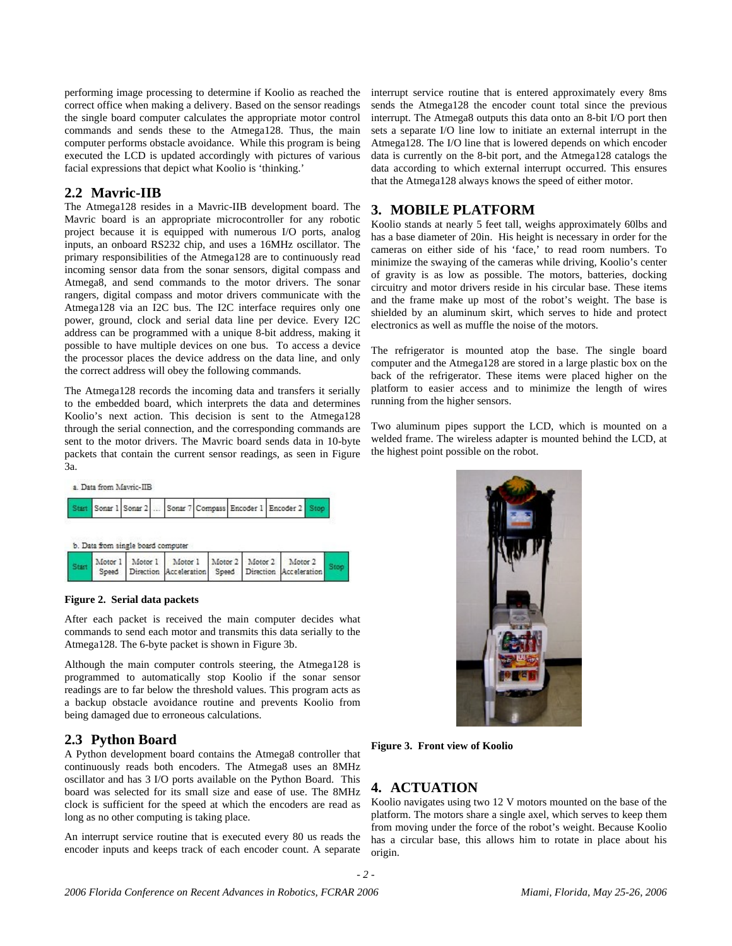performing image processing to determine if Koolio as reached the correct office when making a delivery. Based on the sensor readings the single board computer calculates the appropriate motor control commands and sends these to the Atmega128. Thus, the main computer performs obstacle avoidance. While this program is being executed the LCD is updated accordingly with pictures of various facial expressions that depict what Koolio is 'thinking.'

# **2.2 Mavric-IIB**

The Atmega128 resides in a Mavric-IIB development board. The Mavric board is an appropriate microcontroller for any robotic project because it is equipped with numerous I/O ports, analog inputs, an onboard RS232 chip, and uses a 16MHz oscillator. The primary responsibilities of the Atmega128 are to continuously read incoming sensor data from the sonar sensors, digital compass and Atmega8, and send commands to the motor drivers. The sonar rangers, digital compass and motor drivers communicate with the Atmega128 via an I2C bus. The I2C interface requires only one power, ground, clock and serial data line per device. Every I2C address can be programmed with a unique 8-bit address, making it possible to have multiple devices on one bus. To access a device the processor places the device address on the data line, and only the correct address will obey the following commands.

The Atmega128 records the incoming data and transfers it serially to the embedded board, which interprets the data and determines Koolio's next action. This decision is sent to the Atmega128 through the serial connection, and the corresponding commands are sent to the motor drivers. The Mavric board sends data in 10-byte packets that contain the current sensor readings, as seen in Figure 3a.

interrupt service routine that is entered approximately every 8ms sends the Atmega128 the encoder count total since the previous interrupt. The Atmega8 outputs this data onto an 8-bit I/O port then sets a separate I/O line low to initiate an external interrupt in the Atmega128. The I/O line that is lowered depends on which encoder data is currently on the 8-bit port, and the Atmega128 catalogs the data according to which external interrupt occurred. This ensures that the Atmega128 always knows the speed of either motor.

# **3. MOBILE PLATFORM**

Koolio stands at nearly 5 feet tall, weighs approximately 60lbs and has a base diameter of 20in. His height is necessary in order for the cameras on either side of his 'face,' to read room numbers. To minimize the swaying of the cameras while driving, Koolio's center of gravity is as low as possible. The motors, batteries, docking circuitry and motor drivers reside in his circular base. These items and the frame make up most of the robot's weight. The base is shielded by an aluminum skirt, which serves to hide and protect electronics as well as muffle the noise of the motors.

The refrigerator is mounted atop the base. The single board computer and the Atmega128 are stored in a large plastic box on the back of the refrigerator. These items were placed higher on the platform to easier access and to minimize the length of wires running from the higher sensors.

Two aluminum pipes support the LCD, which is mounted on a welded frame. The wireless adapter is mounted behind the LCD, at the highest point possible on the robot.



| b. Data from single board computer |  |  |  |  |
|------------------------------------|--|--|--|--|
|------------------------------------|--|--|--|--|

|  |  |  |  |  |  | Motor 1 Motor 1 Motor 1 Motor 2 Motor 2 Motor 2 Motor 2 a<br>Speed   Direction Acceleration Speed   Direction Acceleration |  |
|--|--|--|--|--|--|----------------------------------------------------------------------------------------------------------------------------|--|
|--|--|--|--|--|--|----------------------------------------------------------------------------------------------------------------------------|--|

#### **Figure 2. Serial data packets**

After each packet is received the main computer decides what commands to send each motor and transmits this data serially to the Atmega128. The 6-byte packet is shown in Figure 3b.

Although the main computer controls steering, the Atmega128 is programmed to automatically stop Koolio if the sonar sensor readings are to far below the threshold values. This program acts as a backup obstacle avoidance routine and prevents Koolio from being damaged due to erroneous calculations.

# **2.3 Python Board**

A Python development board contains the Atmega8 controller that continuously reads both encoders. The Atmega8 uses an 8MHz oscillator and has 3 I/O ports available on the Python Board. This board was selected for its small size and ease of use. The 8MHz clock is sufficient for the speed at which the encoders are read as long as no other computing is taking place.

An interrupt service routine that is executed every 80 us reads the encoder inputs and keeps track of each encoder count. A separate



**Figure 3. Front view of Koolio** 

# **4. ACTUATION**

Koolio navigates using two 12 V motors mounted on the base of the platform. The motors share a single axel, which serves to keep them from moving under the force of the robot's weight. Because Koolio has a circular base, this allows him to rotate in place about his origin.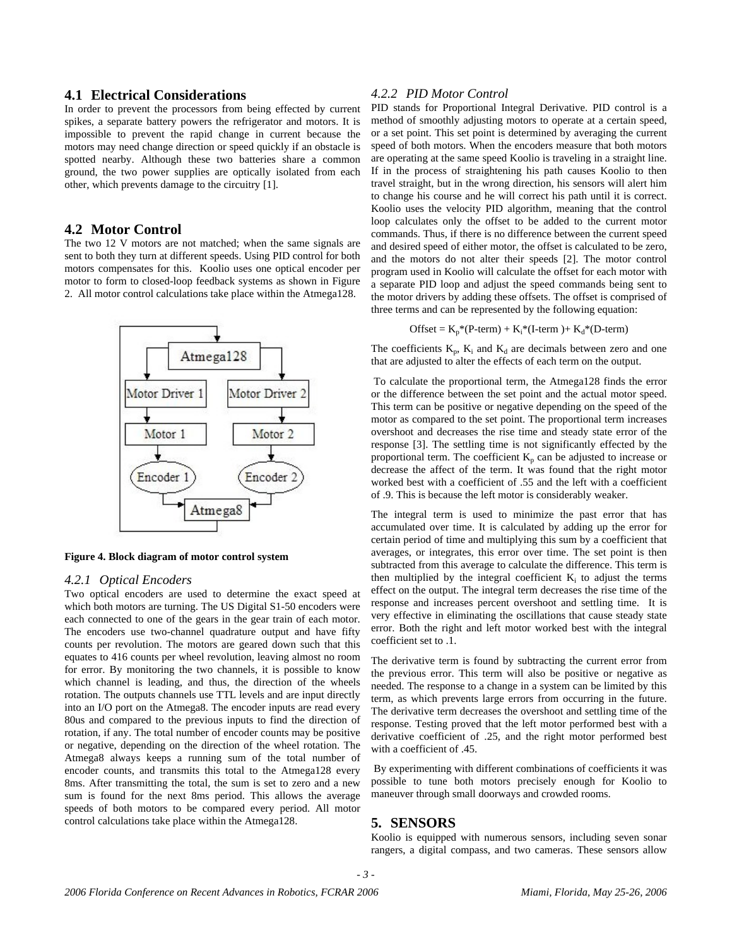### **4.1 Electrical Considerations**

In order to prevent the processors from being effected by current spikes, a separate battery powers the refrigerator and motors. It is impossible to prevent the rapid change in current because the motors may need change direction or speed quickly if an obstacle is spotted nearby. Although these two batteries share a common ground, the two power supplies are optically isolated from each other, which prevents damage to the circuitry [1].

## **4.2 Motor Control**

The two 12 V motors are not matched; when the same signals are sent to both they turn at different speeds. Using PID control for both motors compensates for this. Koolio uses one optical encoder per motor to form to closed-loop feedback systems as shown in Figure 2. All motor control calculations take place within the Atmega128.



**Figure 4. Block diagram of motor control system**

#### *4.2.1 Optical Encoders*

Two optical encoders are used to determine the exact speed at which both motors are turning. The US Digital S1-50 encoders were each connected to one of the gears in the gear train of each motor. The encoders use two-channel quadrature output and have fifty counts per revolution. The motors are geared down such that this equates to 416 counts per wheel revolution, leaving almost no room for error. By monitoring the two channels, it is possible to know which channel is leading, and thus, the direction of the wheels rotation. The outputs channels use TTL levels and are input directly into an I/O port on the Atmega8. The encoder inputs are read every 80us and compared to the previous inputs to find the direction of rotation, if any. The total number of encoder counts may be positive or negative, depending on the direction of the wheel rotation. The Atmega8 always keeps a running sum of the total number of encoder counts, and transmits this total to the Atmega128 every 8ms. After transmitting the total, the sum is set to zero and a new sum is found for the next 8ms period. This allows the average speeds of both motors to be compared every period. All motor control calculations take place within the Atmega128.

#### *4.2.2 PID Motor Control*

PID stands for Proportional Integral Derivative. PID control is a method of smoothly adjusting motors to operate at a certain speed, or a set point. This set point is determined by averaging the current speed of both motors. When the encoders measure that both motors are operating at the same speed Koolio is traveling in a straight line. If in the process of straightening his path causes Koolio to then travel straight, but in the wrong direction, his sensors will alert him to change his course and he will correct his path until it is correct. Koolio uses the velocity PID algorithm, meaning that the control loop calculates only the offset to be added to the current motor commands. Thus, if there is no difference between the current speed and desired speed of either motor, the offset is calculated to be zero, and the motors do not alter their speeds [2]. The motor control program used in Koolio will calculate the offset for each motor with a separate PID loop and adjust the speed commands being sent to the motor drivers by adding these offsets. The offset is comprised of three terms and can be represented by the following equation:

Offset =  $K_p*(P-term) + K_i*(I-term) + K_d*(D-term)$ 

The coefficients  $K_p$ ,  $K_i$  and  $K_d$  are decimals between zero and one that are adjusted to alter the effects of each term on the output.

 To calculate the proportional term, the Atmega128 finds the error or the difference between the set point and the actual motor speed. This term can be positive or negative depending on the speed of the motor as compared to the set point. The proportional term increases overshoot and decreases the rise time and steady state error of the response [3]. The settling time is not significantly effected by the proportional term. The coefficient  $K_p$  can be adjusted to increase or decrease the affect of the term. It was found that the right motor worked best with a coefficient of .55 and the left with a coefficient of .9. This is because the left motor is considerably weaker.

The integral term is used to minimize the past error that has accumulated over time. It is calculated by adding up the error for certain period of time and multiplying this sum by a coefficient that averages, or integrates, this error over time. The set point is then subtracted from this average to calculate the difference. This term is then multiplied by the integral coefficient  $K_i$  to adjust the terms effect on the output. The integral term decreases the rise time of the response and increases percent overshoot and settling time. It is very effective in eliminating the oscillations that cause steady state error. Both the right and left motor worked best with the integral coefficient set to .1.

The derivative term is found by subtracting the current error from the previous error. This term will also be positive or negative as needed. The response to a change in a system can be limited by this term, as which prevents large errors from occurring in the future. The derivative term decreases the overshoot and settling time of the response. Testing proved that the left motor performed best with a derivative coefficient of .25, and the right motor performed best with a coefficient of .45.

 By experimenting with different combinations of coefficients it was possible to tune both motors precisely enough for Koolio to maneuver through small doorways and crowded rooms.

### **5. SENSORS**

Koolio is equipped with numerous sensors, including seven sonar rangers, a digital compass, and two cameras. These sensors allow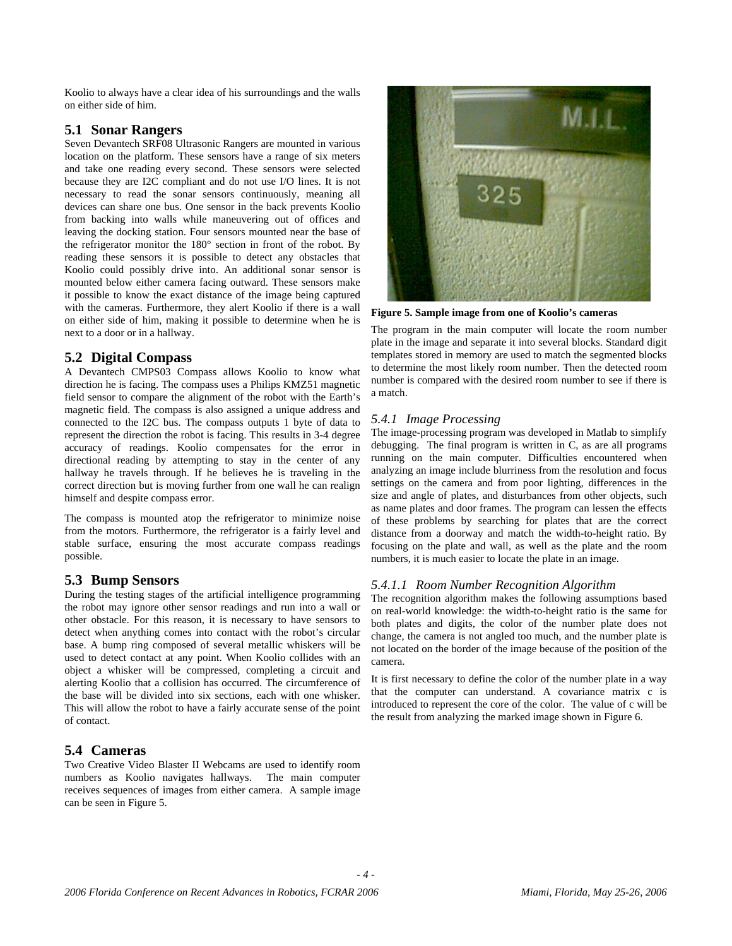Koolio to always have a clear idea of his surroundings and the walls on either side of him.

# **5.1 Sonar Rangers**

Seven Devantech SRF08 Ultrasonic Rangers are mounted in various location on the platform. These sensors have a range of six meters and take one reading every second. These sensors were selected because they are I2C compliant and do not use I/O lines. It is not necessary to read the sonar sensors continuously, meaning all devices can share one bus. One sensor in the back prevents Koolio from backing into walls while maneuvering out of offices and leaving the docking station. Four sensors mounted near the base of the refrigerator monitor the 180° section in front of the robot. By reading these sensors it is possible to detect any obstacles that Koolio could possibly drive into. An additional sonar sensor is mounted below either camera facing outward. These sensors make it possible to know the exact distance of the image being captured with the cameras. Furthermore, they alert Koolio if there is a wall on either side of him, making it possible to determine when he is next to a door or in a hallway.

# **5.2 Digital Compass**

A Devantech CMPS03 Compass allows Koolio to know what direction he is facing. The compass uses a Philips KMZ51 magnetic field sensor to compare the alignment of the robot with the Earth's magnetic field. The compass is also assigned a unique address and connected to the I2C bus. The compass outputs 1 byte of data to represent the direction the robot is facing. This results in 3-4 degree accuracy of readings. Koolio compensates for the error in directional reading by attempting to stay in the center of any hallway he travels through. If he believes he is traveling in the correct direction but is moving further from one wall he can realign himself and despite compass error.

The compass is mounted atop the refrigerator to minimize noise from the motors. Furthermore, the refrigerator is a fairly level and stable surface, ensuring the most accurate compass readings possible.

# **5.3 Bump Sensors**

During the testing stages of the artificial intelligence programming the robot may ignore other sensor readings and run into a wall or other obstacle. For this reason, it is necessary to have sensors to detect when anything comes into contact with the robot's circular base. A bump ring composed of several metallic whiskers will be used to detect contact at any point. When Koolio collides with an object a whisker will be compressed, completing a circuit and alerting Koolio that a collision has occurred. The circumference of the base will be divided into six sections, each with one whisker. This will allow the robot to have a fairly accurate sense of the point of contact.

# **5.4 Cameras**

Two Creative Video Blaster II Webcams are used to identify room numbers as Koolio navigates hallways. The main computer receives sequences of images from either camera. A sample image can be seen in Figure 5.



**Figure 5. Sample image from one of Koolio's cameras** 

The program in the main computer will locate the room number plate in the image and separate it into several blocks. Standard digit templates stored in memory are used to match the segmented blocks to determine the most likely room number. Then the detected room number is compared with the desired room number to see if there is a match.

# *5.4.1 Image Processing*

The image-processing program was developed in Matlab to simplify debugging. The final program is written in C, as are all programs running on the main computer. Difficulties encountered when analyzing an image include blurriness from the resolution and focus settings on the camera and from poor lighting, differences in the size and angle of plates, and disturbances from other objects, such as name plates and door frames. The program can lessen the effects of these problems by searching for plates that are the correct distance from a doorway and match the width-to-height ratio. By focusing on the plate and wall, as well as the plate and the room numbers, it is much easier to locate the plate in an image.

# *5.4.1.1 Room Number Recognition Algorithm*

The recognition algorithm makes the following assumptions based on real-world knowledge: the width-to-height ratio is the same for both plates and digits, the color of the number plate does not change, the camera is not angled too much, and the number plate is not located on the border of the image because of the position of the camera.

It is first necessary to define the color of the number plate in a way that the computer can understand. A covariance matrix c is introduced to represent the core of the color. The value of c will be the result from analyzing the marked image shown in Figure 6.

*- 4 -*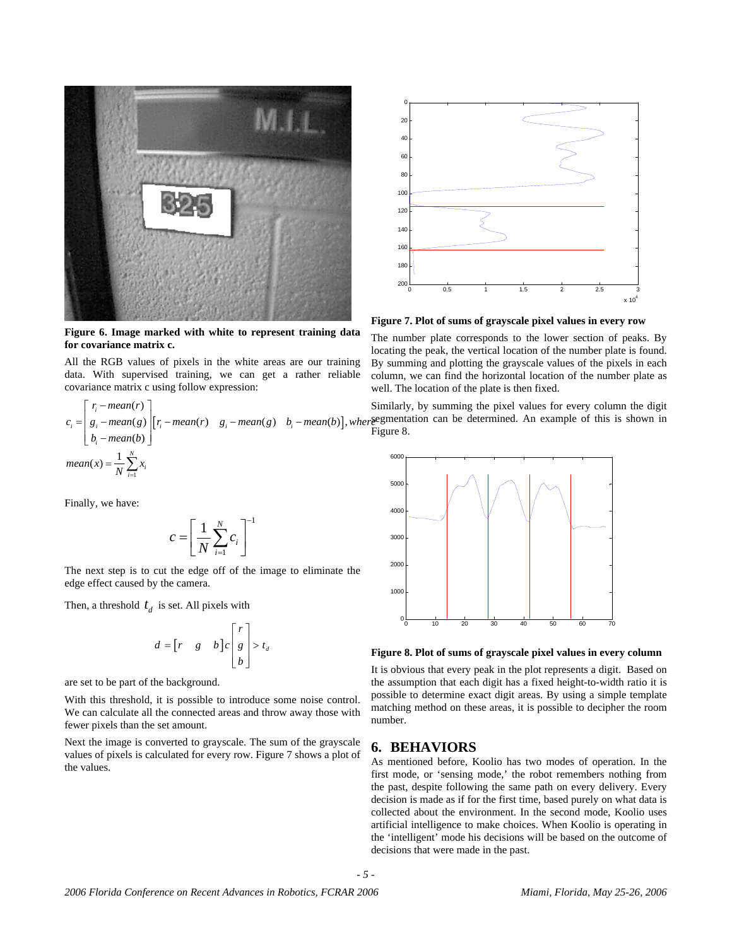

**Figure 6. Image marked with white to represent training data for covariance matrix c.** 

All the RGB values of pixels in the white areas are our training data. With supervised training, we can get a rather reliable covariance matrix c using follow expression:

$$
c_i = \begin{bmatrix} r_i - mean(r) \\ g_i - mean(g) \\ b_i - mean(b) \end{bmatrix} [r_i - mean(r) \quad g_i - mean(g) \quad b_i - mean(b)], where \begin{cases} g_i - mean(g) & h_i - mean(b) \end{cases}, where \begin{cases} R & \text{if } i = 1, 2, \ldots, m, \text{if } i = 1, 2, \ldots, m \end{cases}
$$

Finally, we have:

$$
c = \left[\frac{1}{N} \sum_{i=1}^{N} c_i\right]^{-1}
$$

The next step is to cut the edge off of the image to eliminate the edge effect caused by the camera.

Then, a threshold  $t_d$  is set. All pixels with

$$
d = \begin{bmatrix} r & g & b \end{bmatrix} c \begin{bmatrix} r \\ g \\ b \end{bmatrix} > t_d
$$

are set to be part of the background.

With this threshold, it is possible to introduce some noise control. We can calculate all the connected areas and throw away those with fewer pixels than the set amount.

Next the image is converted to grayscale. The sum of the grayscale values of pixels is calculated for every row. Figure 7 shows a plot of the values.



**Figure 7. Plot of sums of grayscale pixel values in every row** 

The number plate corresponds to the lower section of peaks. By locating the peak, the vertical location of the number plate is found. By summing and plotting the grayscale values of the pixels in each column, we can find the horizontal location of the number plate as well. The location of the plate is then fixed.

Similarly, by summing the pixel values for every column the digit here egmentation can be determined. An example of this is shown in Figure 8.



**Figure 8. Plot of sums of grayscale pixel values in every column** 

It is obvious that every peak in the plot represents a digit. Based on the assumption that each digit has a fixed height-to-width ratio it is possible to determine exact digit areas. By using a simple template matching method on these areas, it is possible to decipher the room number.

### **6. BEHAVIORS**

As mentioned before, Koolio has two modes of operation. In the first mode, or 'sensing mode,' the robot remembers nothing from the past, despite following the same path on every delivery. Every decision is made as if for the first time, based purely on what data is collected about the environment. In the second mode, Koolio uses artificial intelligence to make choices. When Koolio is operating in the 'intelligent' mode his decisions will be based on the outcome of decisions that were made in the past.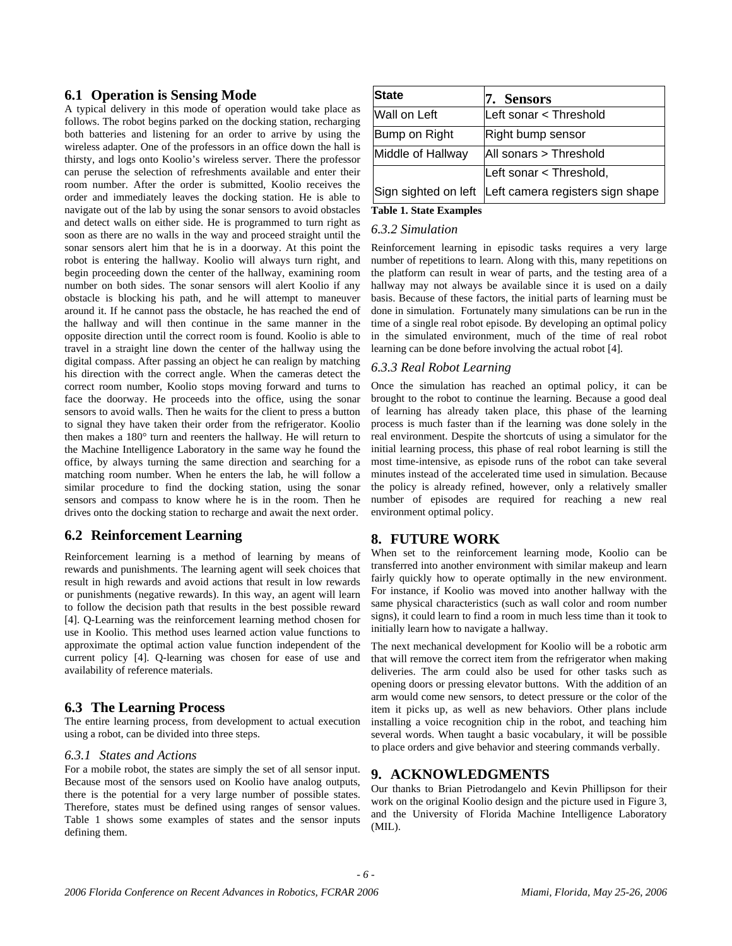# **6.1 Operation is Sensing Mode**

A typical delivery in this mode of operation would take place as follows. The robot begins parked on the docking station, recharging both batteries and listening for an order to arrive by using the wireless adapter. One of the professors in an office down the hall is thirsty, and logs onto Koolio's wireless server. There the professor can peruse the selection of refreshments available and enter their room number. After the order is submitted, Koolio receives the order and immediately leaves the docking station. He is able to navigate out of the lab by using the sonar sensors to avoid obstacles and detect walls on either side. He is programmed to turn right as soon as there are no walls in the way and proceed straight until the sonar sensors alert him that he is in a doorway. At this point the robot is entering the hallway. Koolio will always turn right, and begin proceeding down the center of the hallway, examining room number on both sides. The sonar sensors will alert Koolio if any obstacle is blocking his path, and he will attempt to maneuver around it. If he cannot pass the obstacle, he has reached the end of the hallway and will then continue in the same manner in the opposite direction until the correct room is found. Koolio is able to travel in a straight line down the center of the hallway using the digital compass. After passing an object he can realign by matching his direction with the correct angle. When the cameras detect the correct room number, Koolio stops moving forward and turns to face the doorway. He proceeds into the office, using the sonar sensors to avoid walls. Then he waits for the client to press a button to signal they have taken their order from the refrigerator. Koolio then makes a 180° turn and reenters the hallway. He will return to the Machine Intelligence Laboratory in the same way he found the office, by always turning the same direction and searching for a matching room number. When he enters the lab, he will follow a similar procedure to find the docking station, using the sonar sensors and compass to know where he is in the room. Then he drives onto the docking station to recharge and await the next order.

# **6.2 Reinforcement Learning**

Reinforcement learning is a method of learning by means of rewards and punishments. The learning agent will seek choices that result in high rewards and avoid actions that result in low rewards or punishments (negative rewards). In this way, an agent will learn to follow the decision path that results in the best possible reward [4]. Q-Learning was the reinforcement learning method chosen for use in Koolio. This method uses learned action value functions to approximate the optimal action value function independent of the current policy [4]. Q-learning was chosen for ease of use and availability of reference materials.

### **6.3 The Learning Process**

The entire learning process, from development to actual execution using a robot, can be divided into three steps.

#### *6.3.1 States and Actions*

For a mobile robot, the states are simply the set of all sensor input. Because most of the sensors used on Koolio have analog outputs, there is the potential for a very large number of possible states. Therefore, states must be defined using ranges of sensor values. Table 1 shows some examples of states and the sensor inputs defining them.

| <b>State</b>      | 7. Sensors                                             |  |
|-------------------|--------------------------------------------------------|--|
| Wall on Left      | Left sonar < Threshold                                 |  |
| Bump on Right     | Right bump sensor                                      |  |
| Middle of Hallway | All sonars > Threshold                                 |  |
|                   | Left sonar < Threshold,                                |  |
|                   | Sign sighted on left  Left camera registers sign shape |  |

#### **Table 1. State Examples**

# *6.3.2 Simulation*

Reinforcement learning in episodic tasks requires a very large number of repetitions to learn. Along with this, many repetitions on the platform can result in wear of parts, and the testing area of a hallway may not always be available since it is used on a daily basis. Because of these factors, the initial parts of learning must be done in simulation. Fortunately many simulations can be run in the time of a single real robot episode. By developing an optimal policy in the simulated environment, much of the time of real robot learning can be done before involving the actual robot [4].

# *6.3.3 Real Robot Learning*

Once the simulation has reached an optimal policy, it can be brought to the robot to continue the learning. Because a good deal of learning has already taken place, this phase of the learning process is much faster than if the learning was done solely in the real environment. Despite the shortcuts of using a simulator for the initial learning process, this phase of real robot learning is still the most time-intensive, as episode runs of the robot can take several minutes instead of the accelerated time used in simulation. Because the policy is already refined, however, only a relatively smaller number of episodes are required for reaching a new real environment optimal policy.

# **8. FUTURE WORK**

When set to the reinforcement learning mode, Koolio can be transferred into another environment with similar makeup and learn fairly quickly how to operate optimally in the new environment. For instance, if Koolio was moved into another hallway with the same physical characteristics (such as wall color and room number signs), it could learn to find a room in much less time than it took to initially learn how to navigate a hallway.

The next mechanical development for Koolio will be a robotic arm that will remove the correct item from the refrigerator when making deliveries. The arm could also be used for other tasks such as opening doors or pressing elevator buttons. With the addition of an arm would come new sensors, to detect pressure or the color of the item it picks up, as well as new behaviors. Other plans include installing a voice recognition chip in the robot, and teaching him several words. When taught a basic vocabulary, it will be possible to place orders and give behavior and steering commands verbally.

# **9. ACKNOWLEDGMENTS**

*- 6 -* 

Our thanks to Brian Pietrodangelo and Kevin Phillipson for their work on the original Koolio design and the picture used in Figure 3, and the University of Florida Machine Intelligence Laboratory (MIL).